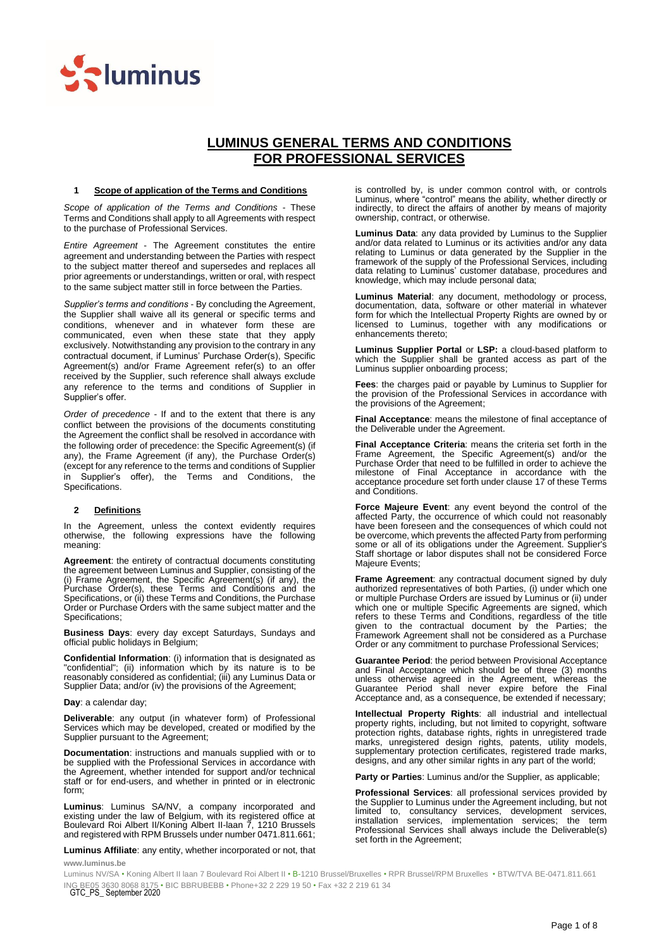

# **LUMINUS GENERAL TERMS AND CONDITIONS FOR PROFESSIONAL SERVICES**

### **1 Scope of application of the Terms and Conditions**

*Scope of application of the Terms and Conditions* - These Terms and Conditions shall apply to all Agreements with respect to the purchase of Professional Services.

*Entire Agreement* - The Agreement constitutes the entire agreement and understanding between the Parties with respect to the subject matter thereof and supersedes and replaces all prior agreements or understandings, written or oral, with respect to the same subject matter still in force between the Parties.

*Supplier's terms and conditions* - By concluding the Agreement, the Supplier shall waive all its general or specific terms and conditions, whenever and in whatever form these are communicated, even when these state that they apply exclusively. Notwithstanding any provision to the contrary in any contractual document, if Luminus' Purchase Order(s), Specific Agreement(s) and/or Frame Agreement refer(s) to an offer received by the Supplier, such reference shall always exclude any reference to the terms and conditions of Supplier in Supplier's offer.

*Order of precedence* - If and to the extent that there is any conflict between the provisions of the documents constituting the Agreement the conflict shall be resolved in accordance with the following order of precedence: the Specific Agreement(s) (if any), the Frame Agreement (if any), the Purchase Order(s) (except for any reference to the terms and conditions of Supplier in Supplier's offer), the Terms and Conditions, the Specifications.

### **2 Definitions**

In the Agreement, unless the context evidently requires otherwise, the following expressions have the following meaning:

**Agreement**: the entirety of contractual documents constituting the agreement between Luminus and Supplier, consisting of the (i) Frame Agreement, the Specific Agreement(s) (if any), the Purchase Order(s), these Terms and Conditions and the Specifications, or (ii) these Terms and Conditions, the Purchase Order or Purchase Orders with the same subject matter and the Specifications;

**Business Days**: every day except Saturdays, Sundays and official public holidays in Belgium;

**Confidential Information**: (i) information that is designated as "confidential"; (ii) information which by its nature is to be reasonably considered as confidential; (iii) any Luminus Data or Supplier Data; and/or (iv) the provisions of the Agreement;

**Day**: a calendar day;

**Deliverable**: any output (in whatever form) of Professional Services which may be developed, created or modified by the Supplier pursuant to the Agreement;

**Documentation**: instructions and manuals supplied with or to be supplied with the Professional Services in accordance with the Agreement, whether intended for support and/or technical staff or for end-users, and whether in printed or in electronic form;

**Luminus**: Luminus SA/NV, a company incorporated and existing under the law of Belgium, with its registered office at Boulevard Roi Albert II/Koning Albert II-laan 7, 1210 Brussels and registered with RPM Brussels under number 0471.811.661;

**Luminus Affiliate**: any entity, whether incorporated or not, that

**www.luminus.be**

is controlled by, is under common control with, or controls Luminus, where "control" means the ability, whether directly or indirectly, to direct the affairs of another by means of majority ownership, contract, or otherwise.

**Luminus Data**: any data provided by Luminus to the Supplier and/or data related to Luminus or its activities and/or any data relating to Luminus or data generated by the Supplier in the framework of the supply of the Professional Services, including data relating to Luminus' customer database, procedures and knowledge, which may include personal data;

**Luminus Material**: any document, methodology or process, documentation, data, software or other material in whatever form for which the Intellectual Property Rights are owned by or licensed to Luminus, together with any modifications or enhancements thereto;

**Luminus Supplier Portal** or **LSP:** a cloud-based platform to which the Supplier shall be granted access as part of the Luminus supplier onboarding process;

**Fees**: the charges paid or payable by Luminus to Supplier for the provision of the Professional Services in accordance with the provisions of the Agreement;

**Final Acceptance**: means the milestone of final acceptance of the Deliverable under the Agreement.

**Final Acceptance Criteria**: means the criteria set forth in the Frame Agreement, the Specific Agreement(s) and/or the Purchase Order that need to be fulfilled in order to achieve the milestone of Final Acceptance in accordance with the acceptance procedure set forth under clause [17](#page-5-0) of these Terms and Conditions.

**Force Majeure Event**: any event beyond the control of the affected Party, the occurrence of which could not reasonably have been foreseen and the consequences of which could not be overcome, which prevents the affected Party from performing some or all of its obligations under the Agreement. Supplier's Staff shortage or labor disputes shall not be considered Force Majeure Events;

**Frame Agreement**: any contractual document signed by duly authorized representatives of both Parties, (i) under which one or multiple Purchase Orders are issued by Luminus or (ii) under which one or multiple Specific Agreements are signed, which refers to these Terms and Conditions, regardless of the title given to the contractual document by the Parties; the Framework Agreement shall not be considered as a Purchase Order or any commitment to purchase Professional Services;

**Guarantee Period**: the period between Provisional Acceptance and Final Acceptance which should be of three (3) months unless otherwise agreed in the Agreement, whereas the Guarantee Period shall never expire before the Final Acceptance and, as a consequence, be extended if necessary;

**Intellectual Property Rights**: all industrial and intellectual property rights, including, but not limited to copyright, software protection rights, database rights, rights in unregistered trade marks, unregistered design rights, patents, utility models, supplementary protection certificates, registered trade marks, designs, and any other similar rights in any part of the world;

**Party or Parties**: Luminus and/or the Supplier, as applicable;

**Professional Services**: all professional services provided by the Supplier to Luminus under the Agreement including, but not limited to, consultancy services, development services, installation services, implementation services; the term services, implementation services; the Professional Services shall always include the Deliverable(s) set forth in the Agreement;

ING BE05 3630 8068 8175 • BIC BBRUBEBB • Phone+32 2 229 19 50 • Fax +32 2 219 61 34<br>GTC\_PS\_ September 2020 Luminus NV/SA • Koning Albert II laan 7 Boulevard Roi Albert II • B-1210 Brussel/Bruxelles • RPR Brussel/RPM Bruxelles • BTW/TVA BE-0471.811.661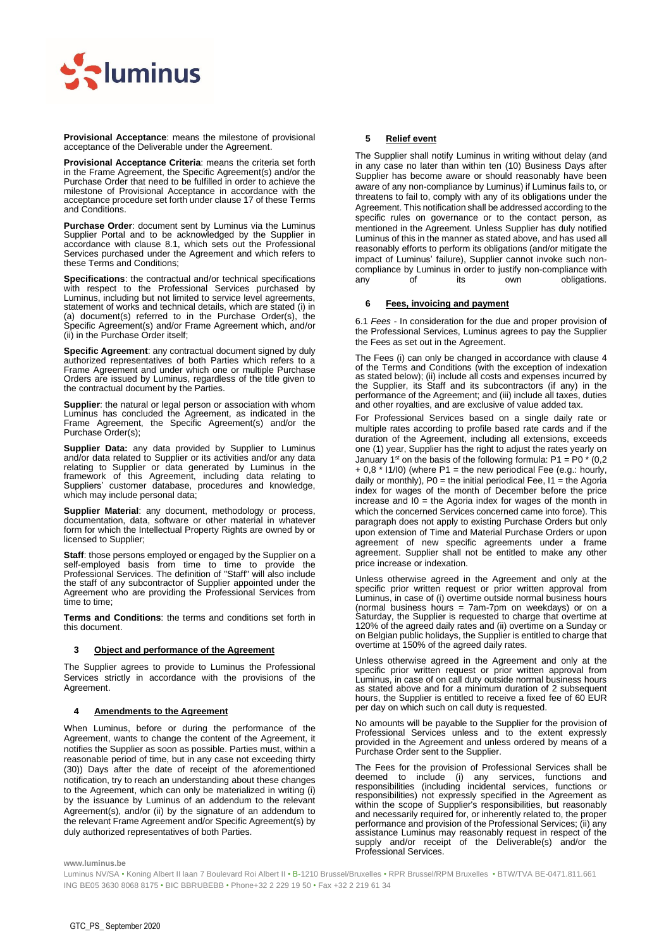

**Provisional Acceptance**: means the milestone of provisional acceptance of the Deliverable under the Agreement.

**Provisional Acceptance Criteria**: means the criteria set forth in the Frame Agreement, the Specific Agreement(s) and/or the Purchase Order that need to be fulfilled in order to achieve the milestone of Provisional Acceptance in accordance with the acceptance procedure set forth under claus[e 17](#page-5-0) of these Terms and Conditions.

**Purchase Order**: document sent by Luminus via the Luminus Supplier Portal and to be acknowledged by the Supplier in accordance with clause 8.1, which sets out the Professional Services purchased under the Agreement and which refers to these Terms and Conditions;

**Specifications**: the contractual and/or technical specifications with respect to the Professional Services purchased by Luminus, including but not limited to service level agreements, statement of works and technical details, which are stated (i) in (a) document(s) referred to in the Purchase Order(s), the Specific Agreement(s) and/or Frame Agreement which, and/or (ii) in the Purchase Order itself;

**Specific Agreement**: any contractual document signed by duly authorized representatives of both Parties which refers to a Frame Agreement and under which one or multiple Purchase Orders are issued by Luminus, regardless of the title given to the contractual document by the Parties.

**Supplier**: the natural or legal person or association with whom Luminus has concluded the Agreement, as indicated in the Frame Agreement, the Specific Agreement(s) and/or the Purchase Order(s);

**Supplier Data:** any data provided by Supplier to Luminus and/or data related to Supplier or its activities and/or any data relating to Supplier or data generated by Luminus in the framework of this Agreement, including data relating to Suppliers' customer database, procedures and knowledge, which may include personal data;

**Supplier Material**: any document, methodology or process, documentation, data, software or other material in whatever form for which the Intellectual Property Rights are owned by or licensed to Supplier;

**Staff**: those persons employed or engaged by the Supplier on a self-employed basis from time to time to provide the Professional Services. The definition of "Staff" will also include the staff of any subcontractor of Supplier appointed under the Agreement who are providing the Professional Services from time to time;

**Terms and Conditions**: the terms and conditions set forth in this document.

### **3 Object and performance of the Agreement**

The Supplier agrees to provide to Luminus the Professional Services strictly in accordance with the provisions of the Agreement.

### <span id="page-1-0"></span>**4 Amendments to the Agreement**

When Luminus, before or during the performance of the Agreement, wants to change the content of the Agreement, it notifies the Supplier as soon as possible. Parties must, within a reasonable period of time, but in any case not exceeding thirty (30)) Days after the date of receipt of the aforementioned notification, try to reach an understanding about these changes to the Agreement, which can only be materialized in writing (i) by the issuance by Luminus of an addendum to the relevant Agreement(s), and/or (ii) by the signature of an addendum to the relevant Frame Agreement and/or Specific Agreement(s) by duly authorized representatives of both Parties.

# **5 Relief event**

The Supplier shall notify Luminus in writing without delay (and in any case no later than within ten (10) Business Days after Supplier has become aware or should reasonably have been aware of any non-compliance by Luminus) if Luminus fails to, or threatens to fail to, comply with any of its obligations under the Agreement. This notification shall be addressed according to the specific rules on governance or to the contact person, as mentioned in the Agreement. Unless Supplier has duly notified Luminus of this in the manner as stated above, and has used all reasonably efforts to perform its obligations (and/or mitigate the impact of Luminus' failure), Supplier cannot invoke such noncompliance by Luminus in order to justify non-compliance with any of its own obligations.

# <span id="page-1-1"></span>**6 Fees, invoicing and payment**

6.1 *Fees* - In consideration for the due and proper provision of the Professional Services, Luminus agrees to pay the Supplier the Fees as set out in the Agreement.

The Fees (i) can only be changed in accordance with clause [4](#page-1-0) of the Terms and Conditions (with the exception of indexation as stated below); (ii) include all costs and expenses incurred by the Supplier, its Staff and its subcontractors (if any) in the performance of the Agreement; and (iii) include all taxes, duties and other royalties, and are exclusive of value added tax.

For Professional Services based on a single daily rate or multiple rates according to profile based rate cards and if the duration of the Agreement, including all extensions, exceeds one (1) year, Supplier has the right to adjust the rates yearly on January 1<sup>st</sup> on the basis of the following formula:  $P1 = P0 * (0,2)$  $+ 0.8$  \* I1/I0) (where P1 = the new periodical Fee (e.g.: hourly, daily or monthly),  $P0 =$  the initial periodical Fee,  $11 =$  the Agoria index for wages of the month of December before the price increase and  $I0 =$  the Agoria index for wages of the month in which the concerned Services concerned came into force). This paragraph does not apply to existing Purchase Orders but only upon extension of Time and Material Purchase Orders or upon agreement of new specific agreements under a frame agreement. Supplier shall not be entitled to make any other price increase or indexation.

Unless otherwise agreed in the Agreement and only at the specific prior written request or prior written approval from Luminus, in case of (i) overtime outside normal business hours (normal business hours = 7am-7pm on weekdays) or on a Saturday, the Supplier is requested to charge that overtime at 120% of the agreed daily rates and (ii) overtime on a Sunday or on Belgian public holidays, the Supplier is entitled to charge that overtime at 150% of the agreed daily rates.

Unless otherwise agreed in the Agreement and only at the specific prior written request or prior written approval from Luminus, in case of on call duty outside normal business hours as stated above and for a minimum duration of 2 subsequent hours, the Supplier is entitled to receive a fixed fee of 60 EUR per day on which such on call duty is requested.

No amounts will be payable to the Supplier for the provision of Professional Services unless and to the extent expressly provided in the Agreement and unless ordered by means of a Purchase Order sent to the Supplier.

The Fees for the provision of Professional Services shall be deemed to include (i) any services, functions and responsibilities (including incidental services, functions or responsibilities) not expressly specified in the Agreement as within the scope of Supplier's responsibilities, but reasonably and necessarily required for, or inherently related to, the proper performance and provision of the Professional Services; (ii) any assistance Luminus may reasonably request in respect of the supply and/or receipt of the Deliverable(s) and/or the Professional Services.

**www.luminus.be**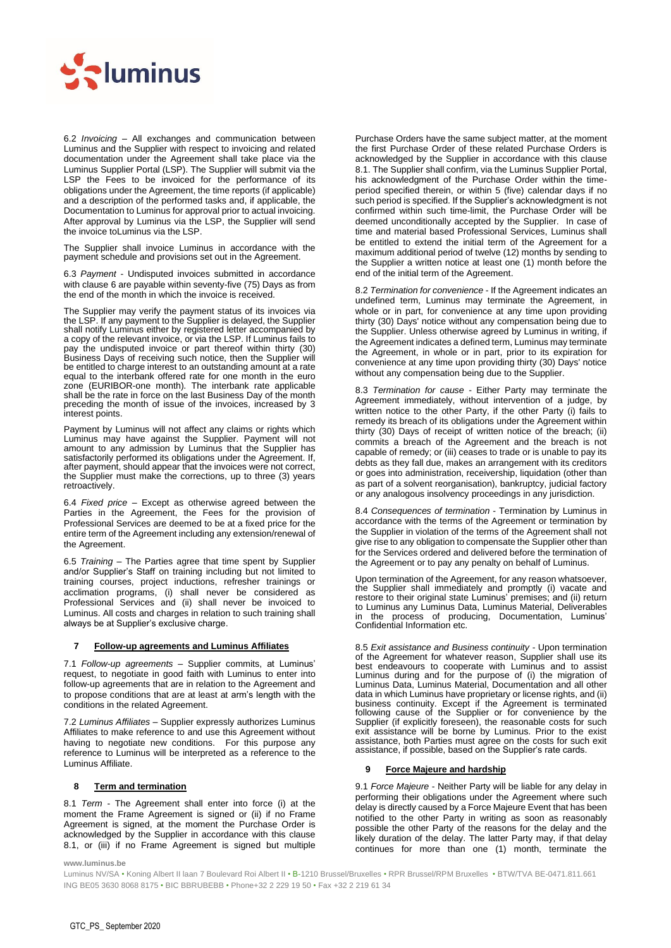

6.2 *Invoicing* – All exchanges and communication between Luminus and the Supplier with respect to invoicing and related documentation under the Agreement shall take place via the Luminus Supplier Portal (LSP). The Supplier will submit via the LSP the Fees to be invoiced for the performance of its obligations under the Agreement, the time reports (if applicable) and a description of the performed tasks and, if applicable, the Documentation to Luminus for approval prior to actual invoicing. After approval by Luminus via the LSP, the Supplier will send the invoice toLuminus via the LSP.

The Supplier shall invoice Luminus in accordance with the payment schedule and provisions set out in the Agreement.

6.3 *Payment* - Undisputed invoices submitted in accordance with claus[e 6](#page-1-1) are payable within seventy-five (75) Days as from the end of the month in which the invoice is received.

The Supplier may verify the payment status of its invoices via the LSP. If any payment to the Supplier is delayed, the Supplier shall notify Luminus either by registered letter accompanied by a copy of the relevant invoice, or via the LSP. If Luminus fails to pay the undisputed invoice or part thereof within thirty (30) Business Days of receiving such notice, then the Supplier will be entitled to charge interest to an outstanding amount at a rate equal to the interbank offered rate for one month in the euro zone (EURIBOR-one month). The interbank rate applicable shall be the rate in force on the last Business Day of the month preceding the month of issue of the invoices, increased by 3 interest points.

Payment by Luminus will not affect any claims or rights which Luminus may have against the Supplier. Payment will not amount to any admission by Luminus that the Supplier has satisfactorily performed its obligations under the Agreement. If, after payment, should appear that the invoices were not correct, the Supplier must make the corrections, up to three (3) years retroactively.

6.4 *Fixed price* – Except as otherwise agreed between the Parties in the Agreement, the Fees for the provision of Professional Services are deemed to be at a fixed price for the entire term of the Agreement including any extension/renewal of the Agreement.

6.5 *Training* – The Parties agree that time spent by Supplier and/or Supplier's Staff on training including but not limited to training courses, project inductions, refresher trainings or acclimation programs, (i) shall never be considered as Professional Services and (ii) shall never be invoiced to Luminus. All costs and charges in relation to such training shall always be at Supplier's exclusive charge.

# **7 Follow-up agreements and Luminus Affiliates**

7.1 *Follow-up agreements* – Supplier commits, at Luminus' request, to negotiate in good faith with Luminus to enter into follow-up agreements that are in relation to the Agreement and to propose conditions that are at least at arm's length with the conditions in the related Agreement.

7.2 *Luminus Affiliates* – Supplier expressly authorizes Luminus Affiliates to make reference to and use this Agreement without having to negotiate new conditions. For this purpose any reference to Luminus will be interpreted as a reference to the Luminus Affiliate.

# **8 Term and termination**

8.1 *Term* - The Agreement shall enter into force (i) at the moment the Frame Agreement is signed or (ii) if no Frame Agreement is signed, at the moment the Purchase Order is acknowledged by the Supplier in accordance with this clause 8.1, or (iii) if no Frame Agreement is signed but multiple Purchase Orders have the same subject matter, at the moment the first Purchase Order of these related Purchase Orders is acknowledged by the Supplier in accordance with this clause 8.1. The Supplier shall confirm, via the Luminus Supplier Portal, his acknowledgment of the Purchase Order within the timeperiod specified therein, or within 5 (five) calendar days if no such period is specified. If the Supplier's acknowledgment is not confirmed within such time-limit, the Purchase Order will be deemed unconditionally accepted by the Supplier. In case of time and material based Professional Services, Luminus shall be entitled to extend the initial term of the Agreement for a maximum additional period of twelve (12) months by sending to the Supplier a written notice at least one (1) month before the end of the initial term of the Agreement.

8.2 *Termination for convenience* - If the Agreement indicates an undefined term, Luminus may terminate the Agreement, in whole or in part, for convenience at any time upon providing thirty (30) Days' notice without any compensation being due to the Supplier. Unless otherwise agreed by Luminus in writing, if the Agreement indicates a defined term, Luminus may terminate the Agreement, in whole or in part, prior to its expiration for convenience at any time upon providing thirty (30) Days' notice without any compensation being due to the Supplier.

8.3 *Termination for cause* - Either Party may terminate the Agreement immediately, without intervention of a judge, by written notice to the other Party, if the other Party (i) fails to remedy its breach of its obligations under the Agreement within thirty (30) Days of receipt of written notice of the breach; (ii) commits a breach of the Agreement and the breach is not capable of remedy; or (iii) ceases to trade or is unable to pay its debts as they fall due, makes an arrangement with its creditors or goes into administration, receivership, liquidation (other than as part of a solvent reorganisation), bankruptcy, judicial factory or any analogous insolvency proceedings in any jurisdiction.

8.4 *Consequences of termination* - Termination by Luminus in accordance with the terms of the Agreement or termination by the Supplier in violation of the terms of the Agreement shall not give rise to any obligation to compensate the Supplier other than for the Services ordered and delivered before the termination of the Agreement or to pay any penalty on behalf of Luminus.

Upon termination of the Agreement, for any reason whatsoever, the Supplier shall immediately and promptly (i) vacate and restore to their original state Luminus' premises; and (ii) return to Luminus any Luminus Data, Luminus Material, Deliverables in the process of producing, Documentation, Luminus' Confidential Information etc.

8.5 *Exit assistance and Business continuity* - Upon termination of the Agreement for whatever reason, Supplier shall use its best endeavours to cooperate with Luminus and to assist Luminus during and for the purpose of (i) the migration of Luminus Data, Luminus Material, Documentation and all other data in which Luminus have proprietary or license rights, and (ii) business continuity. Except if the Agreement is terminated following cause of the Supplier or for convenience by the Supplier (if explicitly foreseen), the reasonable costs for such exit assistance will be borne by Luminus. Prior to the exist assistance, both Parties must agree on the costs for such exit assistance, if possible, based on the Supplier's rate cards.

### **Force Majeure and hardship**

9.1 *Force Majeure* - Neither Party will be liable for any delay in performing their obligations under the Agreement where such delay is directly caused by a Force Majeure Event that has been notified to the other Party in writing as soon as reasonably possible the other Party of the reasons for the delay and the likely duration of the delay. The latter Party may, if that delay continues for more than one (1) month, terminate the

**www.luminus.be**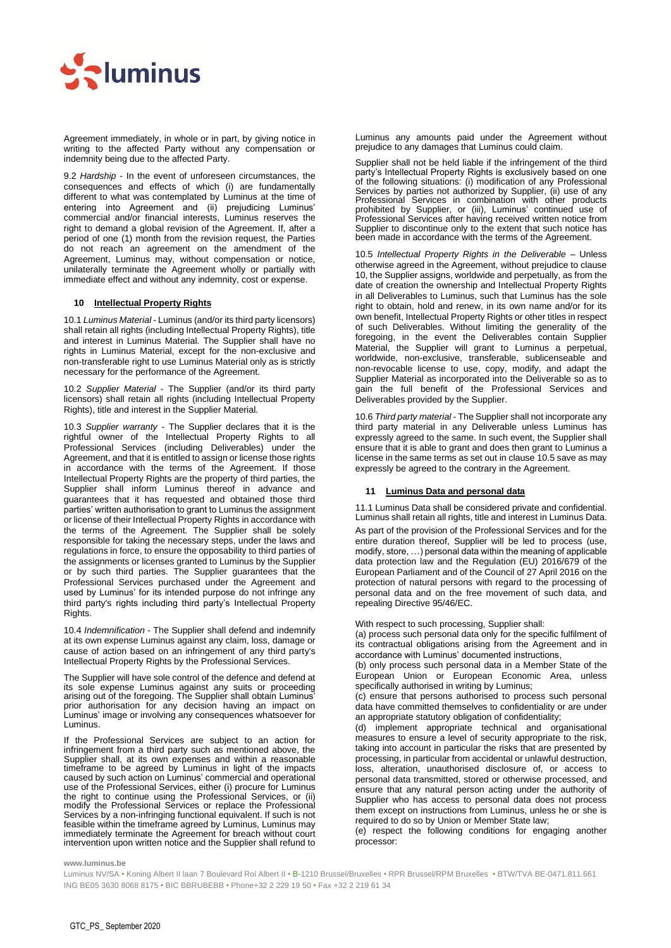

Agreement immediately, in whole or in part, by giving notice in writing to the affected Party without any compensation or indemnity being due to the affected Party.

9.2 *Hardship* - In the event of unforeseen circumstances, the consequences and effects of which (i) are fundamentally different to what was contemplated by Luminus at the time of entering into Agreement and (ii) prejudicing Luminus' commercial and/or financial interests, Luminus reserves the right to demand a global revision of the Agreement. If, after a period of one (1) month from the revision request, the Parties do not reach an agreement on the amendment of the Agreement, Luminus may, without compensation or notice, unilaterally terminate the Agreement wholly or partially with immediate effect and without any indemnity, cost or expense.

# <span id="page-3-0"></span>**10 Intellectual Property Rights**

10.1 *Luminus Material* - Luminus (and/or its third party licensors) shall retain all rights (including Intellectual Property Rights), title and interest in Luminus Material. The Supplier shall have no rights in Luminus Material, except for the non-exclusive and non-transferable right to use Luminus Material only as is strictly necessary for the performance of the Agreement.

10.2 *Supplier Material* - The Supplier (and/or its third party licensors) shall retain all rights (including Intellectual Property Rights), title and interest in the Supplier Material.

10.3 *Supplier warranty* - The Supplier declares that it is the rightful owner of the Intellectual Property Rights to all Professional Services (including Deliverables) under the Agreement, and that it is entitled to assign or license those rights in accordance with the terms of the Agreement. If those Intellectual Property Rights are the property of third parties, the Supplier shall inform Luminus thereof in advance and guarantees that it has requested and obtained those third parties' written authorisation to grant to Luminus the assignment or license of their Intellectual Property Rights in accordance with the terms of the Agreement. The Supplier shall be solely responsible for taking the necessary steps, under the laws and regulations in force, to ensure the opposability to third parties of the assignments or licenses granted to Luminus by the Supplier or by such third parties. The Supplier guarantees that the Professional Services purchased under the Agreement and used by Luminus' for its intended purpose do not infringe any third party's rights including third party's Intellectual Property Rights.

10.4 *Indemnification* - The Supplier shall defend and indemnify at its own expense Luminus against any claim, loss, damage or cause of action based on an infringement of any third party's Intellectual Property Rights by the Professional Services.

The Supplier will have sole control of the defence and defend at its sole expense Luminus against any suits or proceeding arising out of the foregoing. The Supplier shall obtain Luminus' prior authorisation for any decision having an impact on Luminus' image or involving any consequences whatsoever for Luminus.

If the Professional Services are subject to an action for infringement from a third party such as mentioned above, the Supplier shall, at its own expenses and within a reasonable timeframe to be agreed by Luminus in light of the impacts caused by such action on Luminus' commercial and operational use of the Professional Services, either (i) procure for Luminus the right to continue using the Professional Services, or (ii) modify the Professional Services or replace the Professional Services by a non-infringing functional equivalent. If such is not feasible within the timeframe agreed by Luminus, Luminus may immediately terminate the Agreement for breach without court intervention upon written notice and the Supplier shall refund to

Luminus any amounts paid under the Agreement without prejudice to any damages that Luminus could claim.

Supplier shall not be held liable if the infringement of the third party's Intellectual Property Rights is exclusively based on one of the following situations: (i) modification of any Professional Services by parties not authorized by Supplier, (ii) use of any Professional Services in combination with other products prohibited by Supplier, or (iii), Luminus' continued use of Professional Services after having received written notice from Supplier to discontinue only to the extent that such notice has been made in accordance with the terms of the Agreement.

10.5 *Intellectual Property Rights in the Deliverable* – Unless otherwise agreed in the Agreement, without prejudice to clause [10,](#page-3-0) the Supplier assigns, worldwide and perpetually, as from the date of creation the ownership and Intellectual Property Rights in all Deliverables to Luminus, such that Luminus has the sole right to obtain, hold and renew, in its own name and/or for its own benefit, Intellectual Property Rights or other titles in respect of such Deliverables. Without limiting the generality of the foregoing, in the event the Deliverables contain Supplier Material, the Supplier will grant to Luminus a perpetual, worldwide, non-exclusive, transferable, sublicenseable and non-revocable license to use, copy, modify, and adapt the Supplier Material as incorporated into the Deliverable so as to gain the full benefit of the Professional Services and Deliverables provided by the Supplier.

10.6 *Third party material* - The Supplier shall not incorporate any third party material in any Deliverable unless Luminus has expressly agreed to the same. In such event, the Supplier shall ensure that it is able to grant and does then grant to Luminus a license in the same terms as set out in clause 10.5 save as may expressly be agreed to the contrary in the Agreement.

# <span id="page-3-1"></span>**11 Luminus Data and personal data**

11.1 Luminus Data shall be considered private and confidential. Luminus shall retain all rights, title and interest in Luminus Data.

As part of the provision of the Professional Services and for the entire duration thereof, Supplier will be led to process (use, modify, store, …) personal data within the meaning of applicable data protection law and the Regulation (EU) 2016/679 of the European Parliament and of the Council of 27 April 2016 on the protection of natural persons with regard to the processing of personal data and on the free movement of such data, and repealing Directive 95/46/EC.

With respect to such processing, Supplier shall:

(a) process such personal data only for the specific fulfilment of its contractual obligations arising from the Agreement and in accordance with Luminus' documented instructions,

(b) only process such personal data in a Member State of the European Union or European Economic Area, unless specifically authorised in writing by Luminus;

(c) ensure that persons authorised to process such personal data have committed themselves to confidentiality or are under an appropriate statutory obligation of confidentiality;

(d) implement appropriate technical and organisational measures to ensure a level of security appropriate to the risk, taking into account in particular the risks that are presented by processing, in particular from accidental or unlawful destruction, loss, alteration, unauthorised disclosure of, or access to personal data transmitted, stored or otherwise processed, and ensure that any natural person acting under the authority of Supplier who has access to personal data does not process them except on instructions from Luminus, unless he or she is required to do so by Union or Member State law;

(e) respect the following conditions for engaging another processor:

**www.luminus.be**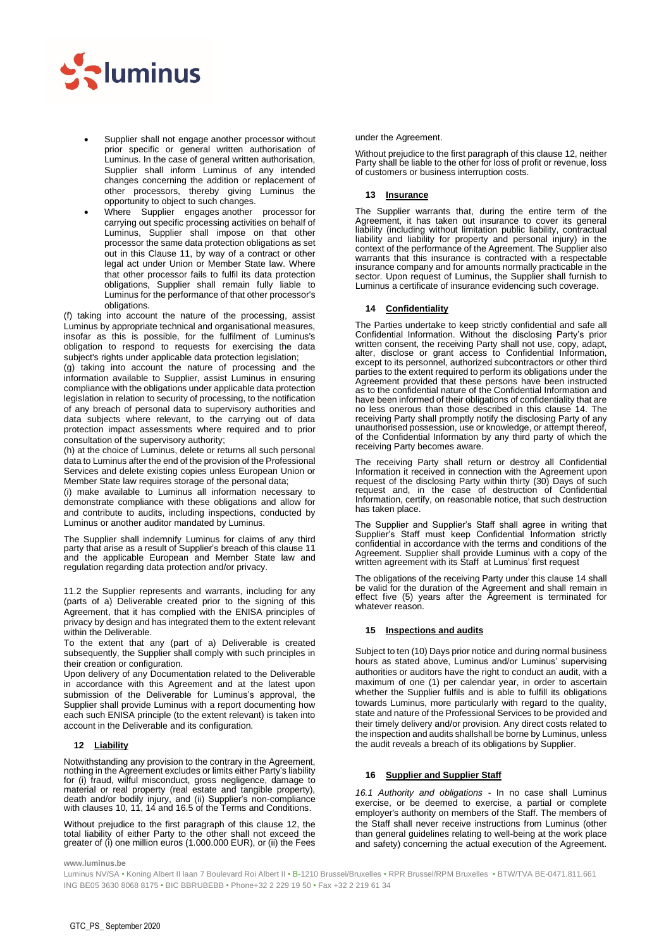

- Supplier shall not engage another processor without prior specific or general written authorisation of Luminus. In the case of general written authorisation, Supplier shall inform Luminus of any intended changes concerning the addition or replacement of other processors, thereby giving Luminus the opportunity to object to such changes.
- Where Supplier engages another processor for carrying out specific processing activities on behalf of Luminus, Supplier shall impose on that other processor the same data protection obligations as set out in this Clause 11, by way of a contract or other legal act under Union or Member State law. Where that other processor fails to fulfil its data protection obligations, Supplier shall remain fully liable to Luminus for the performance of that other processor's obligations.

(f) taking into account the nature of the processing, assist Luminus by appropriate technical and organisational measures, insofar as this is possible, for the fulfilment of Luminus's obligation to respond to requests for exercising the data subject's rights under applicable data protection legislation;

(g) taking into account the nature of processing and the information available to Supplier, assist Luminus in ensuring compliance with the obligations under applicable data protection legislation in relation to security of processing, to the notification of any breach of personal data to supervisory authorities and data subjects where relevant, to the carrying out of data protection impact assessments where required and to prior consultation of the supervisory authority;

(h) at the choice of Luminus, delete or returns all such personal data to Luminus after the end of the provision of the Professional Services and delete existing copies unless European Union or Member State law requires storage of the personal data;

(i) make available to Luminus all information necessary to demonstrate compliance with these obligations and allow for and contribute to audits, including inspections, conducted by Luminus or another auditor mandated by Luminus.

The Supplier shall indemnify Luminus for claims of any third party that arise as a result of Supplier's breach of this claus[e 11](#page-3-1) and the applicable European and Member State law and regulation regarding data protection and/or privacy.

11.2 the Supplier represents and warrants, including for any (parts of a) Deliverable created prior to the signing of this Agreement, that it has complied with the ENISA principles of privacy by design and has integrated them to the extent relevant within the Deliverable.

To the extent that any (part of a) Deliverable is created subsequently, the Supplier shall comply with such principles in their creation or configuration.

Upon delivery of any Documentation related to the Deliverable in accordance with this Agreement and at the latest upon submission of the Deliverable for Luminus's approval, the Supplier shall provide Luminus with a report documenting how each such ENISA principle (to the extent relevant) is taken into account in the Deliverable and its configuration.

# <span id="page-4-2"></span>**12 Liability**

Notwithstanding any provision to the contrary in the Agreement, nothing in the Agreement excludes or limits either Party's liability for (i) fraud, wilful misconduct, gross negligence, damage to material or real property (real estate and tangible property), death and/or bodily injury, and (ii) Supplier's non-compliance with clause[s 10,](#page-3-0) [11,](#page-3-1) [14](#page-4-0) and [16.](#page-4-1)5 of the Terms and Conditions.

Without prejudice to the first paragraph of this clause [12,](#page-4-2) the total liability of either Party to the other shall not exceed the greater of (i) one million euros (1.000.000 EUR), or (ii) the Fees under the Agreement.

Without prejudice to the first paragraph of this clause [12,](#page-4-2) neither Party shall be liable to the other for loss of profit or revenue, loss of customers or business interruption costs.

# **13 Insurance**

The Supplier warrants that, during the entire term of the Agreement, it has taken out insurance to cover its general liability (including without limitation public liability, contractual liability and liability for property and personal injury) in the context of the performance of the Agreement. The Supplier also warrants that this insurance is contracted with a respectable insurance company and for amounts normally practicable in the sector. Upon request of Luminus, the Supplier shall furnish to Luminus a certificate of insurance evidencing such coverage.

### <span id="page-4-0"></span>**14 Confidentiality**

The Parties undertake to keep strictly confidential and safe all Confidential Information. Without the disclosing Party's prior written consent, the receiving Party shall not use, copy, adapt, alter, disclose or grant access to Confidential Information, except to its personnel, authorized subcontractors or other third parties to the extent required to perform its obligations under the Agreement provided that these persons have been instructed as to the confidential nature of the Confidential Information and have been informed of their obligations of confidentiality that are no less onerous than those described in this clause [14.](#page-4-0) The receiving Party shall promptly notify the disclosing Party of any unauthorised possession, use or knowledge, or attempt thereof, of the Confidential Information by any third party of which the receiving Party becomes aware.

The receiving Party shall return or destroy all Confidential Information it received in connection with the Agreement upon request of the disclosing Party within thirty (30) Days of such request and, in the case of destruction of Confidential Information, certify, on reasonable notice, that such destruction has taken place.

The Supplier and Supplier's Staff shall agree in writing that Supplier's Staff must keep Confidential Information strictly confidential in accordance with the terms and conditions of the Agreement. Supplier shall provide Luminus with a copy of the written agreement with its Staff at Luminus' first request

The obligations of the receiving Party under this claus[e 14](#page-4-0) shall be valid for the duration of the Agreement and shall remain in effect five (5) years after the Agreement is terminated for whatever reason.

#### **15 Inspections and audits**

Subject to ten (10) Days prior notice and during normal business hours as stated above, Luminus and/or Luminus' supervising authorities or auditors have the right to conduct an audit, with a maximum of one (1) per calendar year, in order to ascertain whether the Supplier fulfils and is able to fulfill its obligations towards Luminus, more particularly with regard to the quality, state and nature of the Professional Services to be provided and their timely delivery and/or provision. Any direct costs related to the inspection and audits shallshall be borne by Luminus, unless the audit reveals a breach of its obligations by Supplier.

### <span id="page-4-1"></span>**16 Supplier and Supplier Staff**

*16.1 Authority and obligations* - In no case shall Luminus exercise, or be deemed to exercise, a partial or complete employer's authority on members of the Staff. The members of the Staff shall never receive instructions from Luminus (other than general guidelines relating to well-being at the work place and safety) concerning the actual execution of the Agreement.

**www.luminus.be**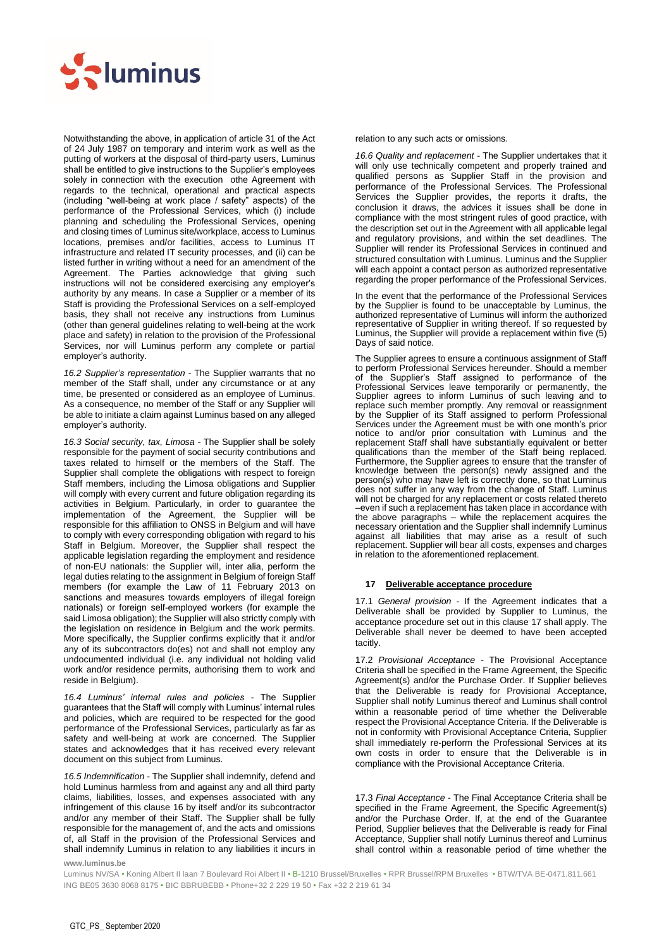

Notwithstanding the above, in application of article 31 of the Act of 24 July 1987 on temporary and interim work as well as the putting of workers at the disposal of third-party users, Luminus shall be entitled to give instructions to the Supplier's employees solely in connection with the execution othe Agreement with regards to the technical, operational and practical aspects (including "well-being at work place / safety" aspects) of the performance of the Professional Services, which (i) include planning and scheduling the Professional Services, opening and closing times of Luminus site/workplace, access to Luminus locations, premises and/or facilities, access to Luminus IT infrastructure and related IT security processes, and (ii) can be listed further in writing without a need for an amendment of the Agreement. The Parties acknowledge that giving such instructions will not be considered exercising any employer's authority by any means. In case a Supplier or a member of its Staff is providing the Professional Services on a self-employed basis, they shall not receive any instructions from Luminus (other than general guidelines relating to well-being at the work place and safety) in relation to the provision of the Professional Services, nor will Luminus perform any complete or partial employer's authority.

*16.2 Supplier's representation* - The Supplier warrants that no member of the Staff shall, under any circumstance or at any time, be presented or considered as an employee of Luminus. As a consequence, no member of the Staff or any Supplier will be able to initiate a claim against Luminus based on any alleged employer's authority.

*16.3 Social security, tax, Limosa* - The Supplier shall be solely responsible for the payment of social security contributions and taxes related to himself or the members of the Staff. The Supplier shall complete the obligations with respect to foreign Staff members, including the Limosa obligations and Supplier will comply with every current and future obligation regarding its activities in Belgium. Particularly, in order to guarantee the implementation of the Agreement, the Supplier will be responsible for this affiliation to ONSS in Belgium and will have to comply with every corresponding obligation with regard to his Staff in Belgium. Moreover, the Supplier shall respect the applicable legislation regarding the employment and residence of non-EU nationals: the Supplier will, inter alia, perform the legal duties relating to the assignment in Belgium of foreign Staff members (for example the Law of 11 February 2013 on sanctions and measures towards employers of illegal foreign nationals) or foreign self-employed workers (for example the said Limosa obligation); the Supplier will also strictly comply with the legislation on residence in Belgium and the work permits. More specifically, the Supplier confirms explicitly that it and/or any of its subcontractors do(es) not and shall not employ any undocumented individual (i.e. any individual not holding valid work and/or residence permits, authorising them to work and reside in Belgium).

*16.4 Luminus' internal rules and policies* - The Supplier guarantees that the Staff will comply with Luminus' internal rules and policies, which are required to be respected for the good performance of the Professional Services, particularly as far as safety and well-being at work are concerned. The Supplier states and acknowledges that it has received every relevant document on this subject from Luminus.

*16.5 Indemnification* - The Supplier shall indemnify, defend and hold Luminus harmless from and against any and all third party claims, liabilities, losses, and expenses associated with any infringement of this clause 16 by itself and/or its subcontractor and/or any member of their Staff. The Supplier shall be fully responsible for the management of, and the acts and omissions of, all Staff in the provision of the Professional Services and shall indemnify Luminus in relation to any liabilities it incurs in relation to any such acts or omissions.

*16.6 Quality and replacement* - The Supplier undertakes that it will only use technically competent and properly trained and qualified persons as Supplier Staff in the provision and performance of the Professional Services. The Professional Services the Supplier provides, the reports it drafts, the conclusion it draws, the advices it issues shall be done in compliance with the most stringent rules of good practice, with the description set out in the Agreement with all applicable legal and regulatory provisions, and within the set deadlines. The Supplier will render its Professional Services in continued and structured consultation with Luminus. Luminus and the Supplier will each appoint a contact person as authorized representative regarding the proper performance of the Professional Services.

In the event that the performance of the Professional Services by the Supplier is found to be unacceptable by Luminus, the authorized representative of Luminus will inform the authorized representative of Supplier in writing thereof. If so requested by Luminus, the Supplier will provide a replacement within five (5) Days of said notice.

The Supplier agrees to ensure a continuous assignment of Staff to perform Professional Services hereunder. Should a member of the Supplier's Staff assigned to performance of the Professional Services leave temporarily or permanently, the Supplier agrees to inform Luminus of such leaving and to replace such member promptly. Any removal or reassignment by the Supplier of its Staff assigned to perform Professional Services under the Agreement must be with one month's prior notice to and/or prior consultation with Luminus and the replacement Staff shall have substantially equivalent or better qualifications than the member of the Staff being replaced. Furthermore, the Supplier agrees to ensure that the transfer of knowledge between the person(s) newly assigned and the person(s) who may have left is correctly done, so that Luminus does not suffer in any way from the change of Staff. Luminus will not be charged for any replacement or costs related thereto –even if such a replacement has taken place in accordance with the above paragraphs – while the replacement acquires the necessary orientation and the Supplier shall indemnify Luminus against all liabilities that may arise as a result of such replacement. Supplier will bear all costs, expenses and charges in relation to the aforementioned replacement.

# <span id="page-5-0"></span>**17 Deliverable acceptance procedure**

17.1 *General provision* - If the Agreement indicates that a Deliverable shall be provided by Supplier to Luminus, the acceptance procedure set out in this clause [17](#page-5-0) shall apply. The Deliverable shall never be deemed to have been accepted tacitly.

17.2 *Provisional Acceptance* - The Provisional Acceptance Criteria shall be specified in the Frame Agreement, the Specific Agreement(s) and/or the Purchase Order. If Supplier believes that the Deliverable is ready for Provisional Acceptance, Supplier shall notify Luminus thereof and Luminus shall control within a reasonable period of time whether the Deliverable respect the Provisional Acceptance Criteria. If the Deliverable is not in conformity with Provisional Acceptance Criteria, Supplier shall immediately re-perform the Professional Services at its own costs in order to ensure that the Deliverable is in compliance with the Provisional Acceptance Criteria.

17.3 *Final Acceptance* - The Final Acceptance Criteria shall be specified in the Frame Agreement, the Specific Agreement(s) and/or the Purchase Order. If, at the end of the Guarantee Period, Supplier believes that the Deliverable is ready for Final Acceptance, Supplier shall notify Luminus thereof and Luminus shall control within a reasonable period of time whether the

**www.luminus.be**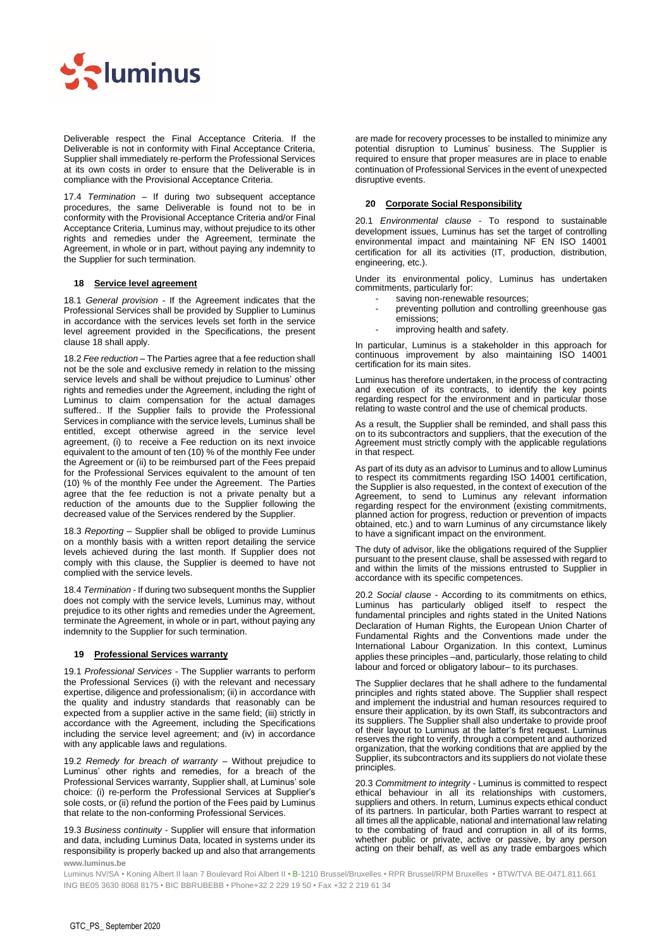

Deliverable respect the Final Acceptance Criteria. If the Deliverable is not in conformity with Final Acceptance Criteria, Supplier shall immediately re-perform the Professional Services at its own costs in order to ensure that the Deliverable is in compliance with the Provisional Acceptance Criteria.

17.4 *Termination* – If during two subsequent acceptance procedures, the same Deliverable is found not to be in conformity with the Provisional Acceptance Criteria and/or Final Acceptance Criteria, Luminus may, without prejudice to its other rights and remedies under the Agreement, terminate the Agreement, in whole or in part, without paying any indemnity to the Supplier for such termination.

# <span id="page-6-0"></span>**18 Service level agreement**

18.1 *General provision* - If the Agreement indicates that the Professional Services shall be provided by Supplier to Luminus in accordance with the services levels set forth in the service level agreement provided in the Specifications, the present clause [18](#page-6-0) shall apply.

18.2 *Fee reduction* – The Parties agree that a fee reduction shall not be the sole and exclusive remedy in relation to the missing service levels and shall be without prejudice to Luminus' other rights and remedies under the Agreement, including the right of Luminus to claim compensation for the actual damages suffered.. If the Supplier fails to provide the Professional Services in compliance with the service levels, Luminus shall be entitled, except otherwise agreed in the service level agreement, (i) to receive a Fee reduction on its next invoice equivalent to the amount of ten (10) % of the monthly Fee under the Agreement or (ii) to be reimbursed part of the Fees prepaid for the Professional Services equivalent to the amount of ten (10) % of the monthly Fee under the Agreement. The Parties agree that the fee reduction is not a private penalty but a reduction of the amounts due to the Supplier following the decreased value of the Services rendered by the Supplier.

18.3 *Reporting* – Supplier shall be obliged to provide Luminus on a monthly basis with a written report detailing the service levels achieved during the last month. If Supplier does not comply with this clause, the Supplier is deemed to have not complied with the service levels.

18.4 *Termination* - If during two subsequent months the Supplier does not comply with the service levels, Luminus may, without prejudice to its other rights and remedies under the Agreement, terminate the Agreement, in whole or in part, without paying any indemnity to the Supplier for such termination.

# **19 Professional Services warranty**

19.1 *Professional Services* - The Supplier warrants to perform the Professional Services (i) with the relevant and necessary expertise, diligence and professionalism; (ii) in accordance with the quality and industry standards that reasonably can be expected from a supplier active in the same field; (iii) strictly in accordance with the Agreement, including the Specifications including the service level agreement; and (iv) in accordance with any applicable laws and regulations.

19.2 *Remedy for breach of warranty* – Without prejudice to Luminus' other rights and remedies, for a breach of the Professional Services warranty, Supplier shall, at Luminus' sole choice: (i) re-perform the Professional Services at Supplier's sole costs, or (ii) refund the portion of the Fees paid by Luminus that relate to the non-conforming Professional Services.

**www.luminus.be** 19.3 *Business continuity* - Supplier will ensure that information and data, including Luminus Data, located in systems under its responsibility is properly backed up and also that arrangements

are made for recovery processes to be installed to minimize any potential disruption to Luminus' business. The Supplier is required to ensure that proper measures are in place to enable continuation of Professional Services in the event of unexpected disruptive events.

### **20 Corporate Social Responsibility**

20.1 *Environmental clause* - To respond to sustainable development issues, Luminus has set the target of controlling environmental impact and maintaining NF EN ISO 14001 certification for all its activities (IT, production, distribution, engineering, etc.).

Under its environmental policy, Luminus has undertaken commitments, particularly for:

- saving non-renewable resources;
- preventing pollution and controlling greenhouse gas emissions;
- improving health and safety.

In particular, Luminus is a stakeholder in this approach for continuous improvement by also maintaining ISO 14001 certification for its main sites.

Luminus has therefore undertaken, in the process of contracting and execution of its contracts, to identify the key points regarding respect for the environment and in particular those relating to waste control and the use of chemical products.

As a result, the Supplier shall be reminded, and shall pass this on to its subcontractors and suppliers, that the execution of the Agreement must strictly comply with the applicable regulations in that respect.

As part of its duty as an advisor to Luminus and to allow Luminus to respect its commitments regarding ISO 14001 certification, the Supplier is also requested, in the context of execution of the Agreement, to send to Luminus any relevant information regarding respect for the environment (existing commitments, planned action for progress, reduction or prevention of impacts obtained, etc.) and to warn Luminus of any circumstance likely to have a significant impact on the environment.

The duty of advisor, like the obligations required of the Supplier pursuant to the present clause, shall be assessed with regard to and within the limits of the missions entrusted to Supplier in accordance with its specific competences.

20.2 *Social clause* - According to its commitments on ethics, Luminus has particularly obliged itself to respect the fundamental principles and rights stated in the United Nations Declaration of Human Rights, the European Union Charter of Fundamental Rights and the Conventions made under the International Labour Organization. In this context, Luminus applies these principles –and, particularly, those relating to child labour and forced or obligatory labour– to its purchases.

The Supplier declares that he shall adhere to the fundamental principles and rights stated above. The Supplier shall respect and implement the industrial and human resources required to ensure their application, by its own Staff, its subcontractors and its suppliers. The Supplier shall also undertake to provide proof of their layout to Luminus at the latter's first request. Luminus reserves the right to verify, through a competent and authorized organization, that the working conditions that are applied by the Supplier, its subcontractors and its suppliers do not violate these principles.

20.3 *Commitment to integrity* - Luminus is committed to respect ethical behaviour in all its relationships with customers, suppliers and others. In return, Luminus expects ethical conduct of its partners. In particular, both Parties warrant to respect at all times all the applicable, national and international law relating to the combating of fraud and corruption in all of its forms, whether public or private, active or passive, by any person acting on their behalf, as well as any trade embargoes which